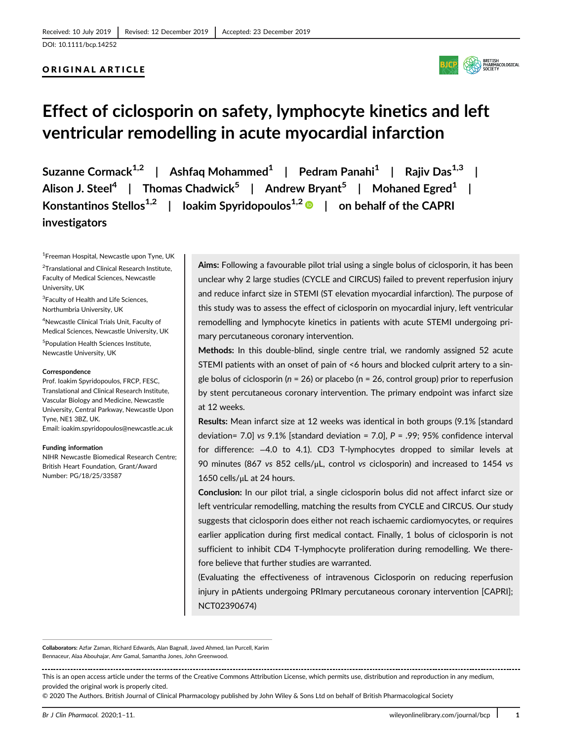## ORIGINAL ARTICLE



# **Effect of ciclosporin on safety, lymphocyte kinetics and left ventricular remodelling in acute myocardial infarction**

**Suzanne Cormack1,2 | Ashfaq Mohammed1 | Pedram Panahi1 | Rajiv Das1,3 | Alison J. Steel<sup>4</sup> | Thomas Chadwick5 | Andrew Bryant<sup>5</sup> | Mohaned Egred1 | Konstantinos Stellos1,2 | Ioakim Spyridopoulos1,2 | on behalf of the CAPRI investigators**

1 Freeman Hospital, Newcastle upon Tyne, UK

<sup>2</sup>Translational and Clinical Research Institute, Faculty of Medical Sciences, Newcastle University, UK

<sup>3</sup>Faculty of Health and Life Sciences, Northumbria University, UK

4 Newcastle Clinical Trials Unit, Faculty of Medical Sciences, Newcastle University, UK

5 Population Health Sciences Institute, Newcastle University, UK

#### **Correspondence**

Prof. Ioakim Spyridopoulos, FRCP, FESC, Translational and Clinical Research Institute, Vascular Biology and Medicine, Newcastle University, Central Parkway, Newcastle Upon Tyne, NE1 3BZ, UK. Email: [ioakim.spyridopoulos@newcastle.ac.uk](mailto:ioakim.spyridopoulos@newcastle.ac.uk)

#### **Funding information**

NIHR Newcastle Biomedical Research Centre; British Heart Foundation, Grant/Award Number: PG/18/25/33587

**Aims:** Following a favourable pilot trial using a single bolus of ciclosporin, it has been unclear why 2 large studies (CYCLE and CIRCUS) failed to prevent reperfusion injury and reduce infarct size in STEMI (ST elevation myocardial infarction). The purpose of this study was to assess the effect of ciclosporin on myocardial injury, left ventricular remodelling and lymphocyte kinetics in patients with acute STEMI undergoing primary percutaneous coronary intervention.

**Methods:** In this double-blind, single centre trial, we randomly assigned 52 acute STEMI patients with an onset of pain of <6 hours and blocked culprit artery to a single bolus of ciclosporin (*n* = 26) or placebo (n = 26, control group) prior to reperfusion by stent percutaneous coronary intervention. The primary endpoint was infarct size at 12 weeks.

**Results:** Mean infarct size at 12 weeks was identical in both groups (9.1% [standard deviation= 7.0] *vs* 9.1% [standard deviation = 7.0], *P* = .99; 95% confidence interval for difference: −4.0 to 4.1). CD3 T-lymphocytes dropped to similar levels at 90 minutes (867 *vs* 852 cells/μL, control *vs* ciclosporin) and increased to 1454 *vs* 1650 cells/μL at 24 hours.

**Conclusion:** In our pilot trial, a single ciclosporin bolus did not affect infarct size or left ventricular remodelling, matching the results from CYCLE and CIRCUS. Our study suggests that ciclosporin does either not reach ischaemic cardiomyocytes, or requires earlier application during first medical contact. Finally, 1 bolus of ciclosporin is not sufficient to inhibit CD4 T-lymphocyte proliferation during remodelling. We therefore believe that further studies are warranted.

(Evaluating the effectiveness of intravenous Ciclosporin on reducing reperfusion injury in pAtients undergoing PRImary percutaneous coronary intervention [CAPRI]; NCT02390674)

**Collaborators:** Azfar Zaman, Richard Edwards, Alan Bagnall, Javed Ahmed, Ian Purcell, Karim Bennaceur, Alaa Abouhajar, Amr Gamal, Samantha Jones, John Greenwood.

This is an open access article under the terms of the [Creative Commons Attribution](http://creativecommons.org/licenses/by/4.0/) License, which permits use, distribution and reproduction in any medium, provided the original work is properly cited.

© 2020 The Authors. British Journal of Clinical Pharmacology published by John Wiley & Sons Ltd on behalf of British Pharmacological Society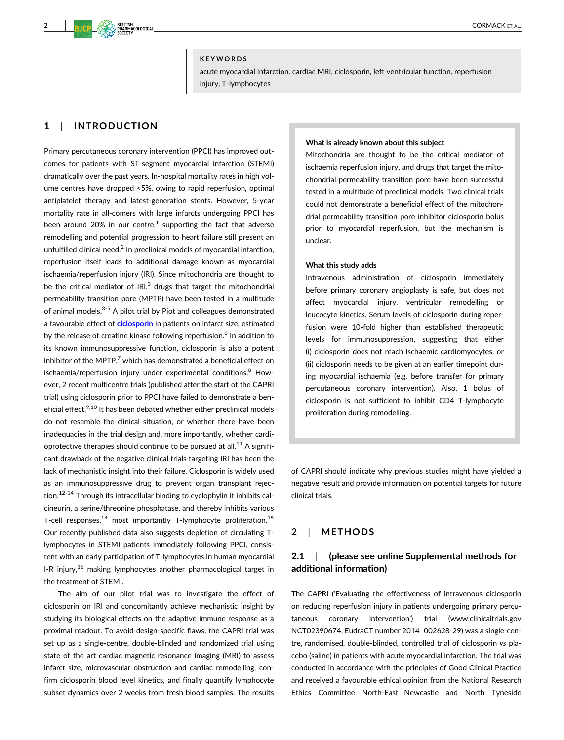#### **KEYWORDS**

acute myocardial infarction, cardiac MRI, ciclosporin, left ventricular function, reperfusion injury, T-lymphocytes

# **1** | **INTRODUCTION**

Primary percutaneous coronary intervention (PPCI) has improved outcomes for patients with ST-segment myocardial infarction (STEMI) dramatically over the past years. In-hospital mortality rates in high volume centres have dropped <5%, owing to rapid reperfusion, optimal antiplatelet therapy and latest-generation stents. However, 5-year mortality rate in all-comers with large infarcts undergoing PPCI has been around 20% in our centre,<sup>1</sup> supporting the fact that adverse remodelling and potential progression to heart failure still present an unfulfilled clinical need.<sup>2</sup> In preclinical models of myocardial infarction, reperfusion itself leads to additional damage known as myocardial ischaemia/reperfusion injury (IRI). Since mitochondria are thought to be the critical mediator of  $IRI<sub>3</sub><sup>3</sup>$  drugs that target the mitochondrial permeability transition pore (MPTP) have been tested in a multitude of animal models.<sup>3-5</sup> A pilot trial by Piot and colleagues demonstrated a favourable effect of **[ciclosporin](https://www.guidetopharmacology.org/GRAC/LigandDisplayForward?ligandId=1024)** in patients on infarct size, estimated by the release of creatine kinase following reperfusion.<sup>6</sup> In addition to its known immunosuppressive function, ciclosporin is also a potent inhibitor of the MPTP, $7$  which has demonstrated a beneficial effect on ischaemia/reperfusion injury under experimental conditions.<sup>8</sup> However, 2 recent multicentre trials (published after the start of the CAPRI trial) using ciclosporin prior to PPCI have failed to demonstrate a beneficial effect.<sup>9,10</sup> It has been debated whether either preclinical models do not resemble the clinical situation, or whether there have been inadequacies in the trial design and, more importantly, whether cardioprotective therapies should continue to be pursued at all.<sup>11</sup> A significant drawback of the negative clinical trials targeting IRI has been the lack of mechanistic insight into their failure. Ciclosporin is widely used as an immunosuppressive drug to prevent organ transplant rejection.<sup>12-14</sup> Through its intracellular binding to cyclophylin it inhibits calcineurin, a serine/threonine phosphatase, and thereby inhibits various T-cell responses, $^{14}$  most importantly T-lymphocyte proliferation.<sup>15</sup> Our recently published data also suggests depletion of circulating Tlymphocytes in STEMI patients immediately following PPCI, consistent with an early participation of T-lymphocytes in human myocardial I-R injury,<sup>16</sup> making lymphocytes another pharmacological target in the treatment of STEMI.

The aim of our pilot trial was to investigate the effect of ciclosporin on IRI and concomitantly achieve mechanistic insight by studying its biological effects on the adaptive immune response as a proximal readout. To avoid design-specific flaws, the CAPRI trial was set up as a single-centre, double-blinded and randomized trial using state of the art cardiac magnetic resonance imaging (MRI) to assess infarct size, microvascular obstruction and cardiac remodelling, confirm ciclosporin blood level kinetics, and finally quantify lymphocyte subset dynamics over 2 weeks from fresh blood samples. The results

#### **What is already known about this subject**

Mitochondria are thought to be the critical mediator of ischaemia reperfusion injury, and drugs that target the mitochondrial permeability transition pore have been successful tested in a multitude of preclinical models. Two clinical trials could not demonstrate a beneficial effect of the mitochondrial permeability transition pore inhibitor ciclosporin bolus prior to myocardial reperfusion, but the mechanism is unclear.

#### **What this study adds**

Intravenous administration of ciclosporin immediately before primary coronary angioplasty is safe, but does not affect myocardial injury, ventricular remodelling or leucocyte kinetics. Serum levels of ciclosporin during reperfusion were 10-fold higher than established therapeutic levels for immunosuppression, suggesting that either (i) ciclosporin does not reach ischaemic cardiomyocytes, or (ii) ciclosporin needs to be given at an earlier timepoint during myocardial ischaemia (e.g. before transfer for primary percutaneous coronary intervention). Also, 1 bolus of ciclosporin is not sufficient to inhibit CD4 T-lymphocyte proliferation during remodelling.

of CAPRI should indicate why previous studies might have yielded a negative result and provide information on potential targets for future clinical trials.

# **2** | **METHODS**

# **2.1** | **(please see online Supplemental methods for additional information)**

The CAPRI ('Evaluating the effectiveness of intravenous **c**iclosporin on reducing reperfusion injury in p**a**tients undergoing **pri**mary percutaneous coronary intervention') trial ([www.clinicaltrials.gov](http://www.clinicaltrials.gov) NCT02390674, EudraCT number 2014–002628-29) was a single-centre, randomised, double-blinded, controlled trial of ciclosporin *vs* placebo (saline) in patients with acute myocardial infarction. The trial was conducted in accordance with the principles of Good Clinical Practice and received a favourable ethical opinion from the National Research Ethics Committee North-East—Newcastle and North Tyneside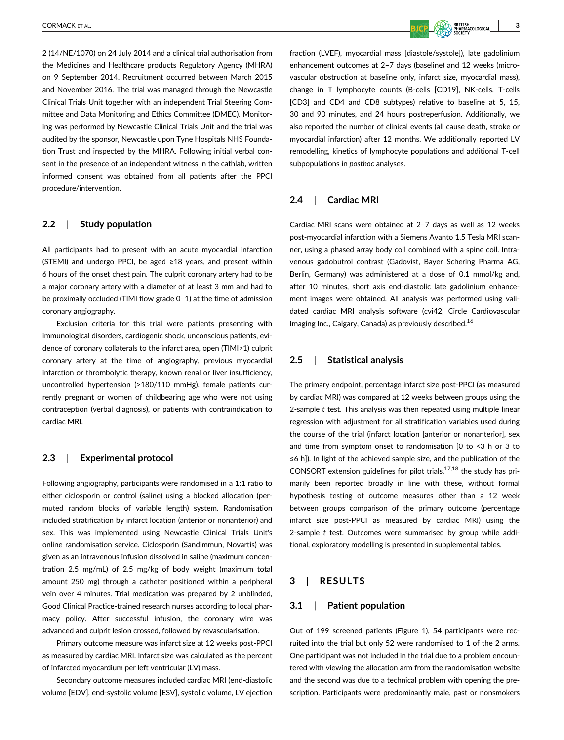2 (14/NE/1070) on 24 July 2014 and a clinical trial authorisation from the Medicines and Healthcare products Regulatory Agency (MHRA) on 9 September 2014. Recruitment occurred between March 2015 and November 2016. The trial was managed through the Newcastle Clinical Trials Unit together with an independent Trial Steering Committee and Data Monitoring and Ethics Committee (DMEC). Monitoring was performed by Newcastle Clinical Trials Unit and the trial was audited by the sponsor, Newcastle upon Tyne Hospitals NHS Foundation Trust and inspected by the MHRA. Following initial verbal consent in the presence of an independent witness in the cathlab, written informed consent was obtained from all patients after the PPCI procedure/intervention.

## **2.2** | **Study population**

All participants had to present with an acute myocardial infarction (STEMI) and undergo PPCI, be aged ≥18 years, and present within 6 hours of the onset chest pain. The culprit coronary artery had to be a major coronary artery with a diameter of at least 3 mm and had to be proximally occluded (TIMI flow grade 0–1) at the time of admission coronary angiography.

Exclusion criteria for this trial were patients presenting with immunological disorders, cardiogenic shock, unconscious patients, evidence of coronary collaterals to the infarct area, open (TIMI>1) culprit coronary artery at the time of angiography, previous myocardial infarction or thrombolytic therapy, known renal or liver insufficiency, uncontrolled hypertension (>180/110 mmHg), female patients currently pregnant or women of childbearing age who were not using contraception (verbal diagnosis), or patients with contraindication to cardiac MRI.

## **2.3** | **Experimental protocol**

Following angiography, participants were randomised in a 1:1 ratio to either ciclosporin or control (saline) using a blocked allocation (permuted random blocks of variable length) system. Randomisation included stratification by infarct location (anterior or nonanterior) and sex. This was implemented using Newcastle Clinical Trials Unit's online randomisation service. Ciclosporin (Sandimmun, Novartis) was given as an intravenous infusion dissolved in saline (maximum concentration 2.5 mg/mL) of 2.5 mg/kg of body weight (maximum total amount 250 mg) through a catheter positioned within a peripheral vein over 4 minutes. Trial medication was prepared by 2 unblinded, Good Clinical Practice-trained research nurses according to local pharmacy policy. After successful infusion, the coronary wire was advanced and culprit lesion crossed, followed by revascularisation.

Primary outcome measure was infarct size at 12 weeks post-PPCI as measured by cardiac MRI. Infarct size was calculated as the percent of infarcted myocardium per left ventricular (LV) mass.

Secondary outcome measures included cardiac MRI (end-diastolic volume [EDV], end-systolic volume [ESV], systolic volume, LV ejection fraction (LVEF), myocardial mass [diastole/systole]), late gadolinium enhancement outcomes at 2–7 days (baseline) and 12 weeks (microvascular obstruction at baseline only, infarct size, myocardial mass), change in T lymphocyte counts (B-cells [CD19], NK-cells, T-cells [CD3] and CD4 and CD8 subtypes) relative to baseline at 5, 15, 30 and 90 minutes, and 24 hours postreperfusion. Additionally, we also reported the number of clinical events (all cause death, stroke or myocardial infarction) after 12 months. We additionally reported LV remodelling, kinetics of lymphocyte populations and additional T-cell subpopulations in *posthoc* analyses.

## **2.4** | **Cardiac MRI**

Cardiac MRI scans were obtained at 2–7 days as well as 12 weeks post-myocardial infarction with a Siemens Avanto 1.5 Tesla MRI scanner, using a phased array body coil combined with a spine coil. Intravenous gadobutrol contrast (Gadovist, Bayer Schering Pharma AG, Berlin, Germany) was administered at a dose of 0.1 mmol/kg and, after 10 minutes, short axis end-diastolic late gadolinium enhancement images were obtained. All analysis was performed using validated cardiac MRI analysis software (cvi42, Circle Cardiovascular Imaging Inc., Calgary, Canada) as previously described.16

## **2.5** | **Statistical analysis**

The primary endpoint, percentage infarct size post-PPCI (as measured by cardiac MRI) was compared at 12 weeks between groups using the 2-sample *t* test. This analysis was then repeated using multiple linear regression with adjustment for all stratification variables used during the course of the trial (infarct location [anterior or nonanterior], sex and time from symptom onset to randomisation [0 to <3 h or 3 to ≤6 h]). In light of the achieved sample size, and the publication of the CONSORT extension guidelines for pilot trials, $17,18$  the study has primarily been reported broadly in line with these, without formal hypothesis testing of outcome measures other than a 12 week between groups comparison of the primary outcome (percentage infarct size post-PPCI as measured by cardiac MRI) using the 2-sample *t* test. Outcomes were summarised by group while additional, exploratory modelling is presented in supplemental tables.

#### **3** | **RESULTS**

## **3.1** | **Patient population**

Out of 199 screened patients (Figure 1), 54 participants were recruited into the trial but only 52 were randomised to 1 of the 2 arms. One participant was not included in the trial due to a problem encountered with viewing the allocation arm from the randomisation website and the second was due to a technical problem with opening the prescription. Participants were predominantly male, past or nonsmokers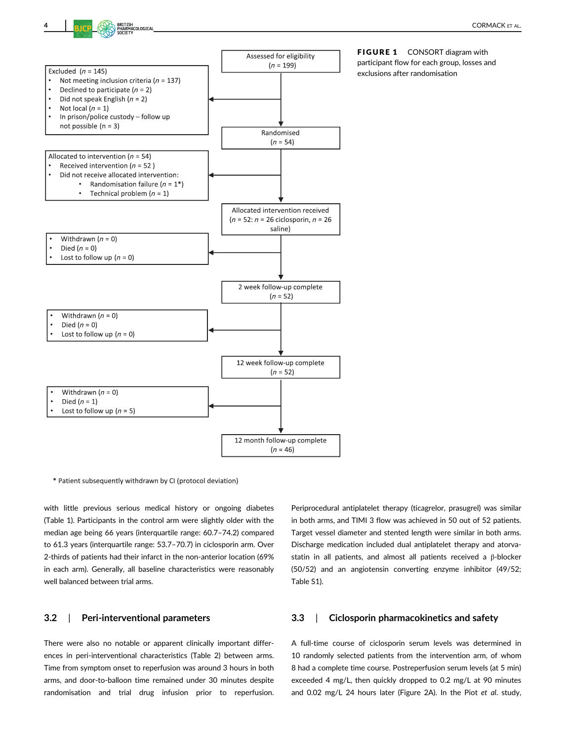

FIGURE 1 CONSORT diagram with participant flow for each group, losses and exclusions after randomisation

\* Patient subsequently withdrawn by CI (protocol deviation)

with little previous serious medical history or ongoing diabetes (Table 1). Participants in the control arm were slightly older with the median age being 66 years (interquartile range: 60.7–74.2) compared to 61.3 years (interquartile range: 53.7–70.7) in ciclosporin arm. Over 2-thirds of patients had their infarct in the non-anterior location (69% in each arm). Generally, all baseline characteristics were reasonably well balanced between trial arms.

## **3.2** | **Peri-interventional parameters**

There were also no notable or apparent clinically important differences in peri-interventional characteristics (Table 2) between arms. Time from symptom onset to reperfusion was around 3 hours in both arms, and door-to-balloon time remained under 30 minutes despite randomisation and trial drug infusion prior to reperfusion.

Periprocedural antiplatelet therapy (ticagrelor, prasugrel) was similar in both arms, and TIMI 3 flow was achieved in 50 out of 52 patients. Target vessel diameter and stented length were similar in both arms. Discharge medication included dual antiplatelet therapy and atorvastatin in all patients, and almost all patients received a β-blocker (50/52) and an angiotensin converting enzyme inhibitor (49/52; Table S1).

#### **3.3** | **Ciclosporin pharmacokinetics and safety**

A full-time course of ciclosporin serum levels was determined in 10 randomly selected patients from the intervention arm, of whom 8 had a complete time course. Postreperfusion serum levels (at 5 min) exceeded 4 mg/L, then quickly dropped to 0.2 mg/L at 90 minutes and 0.02 mg/L 24 hours later (Figure 2A). In the Piot *et al*. study,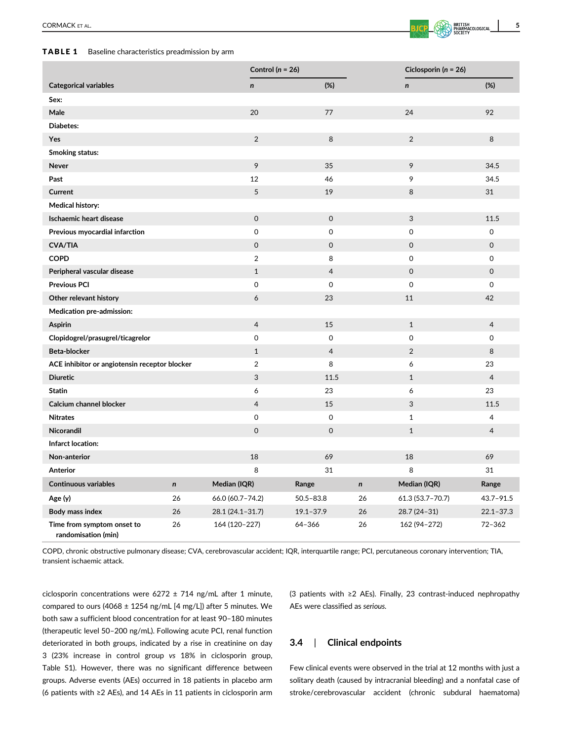## TABLE 1 Baseline characteristics preadmission by arm

|                                               |           | Control ( $n = 26$ ) |                     |           | Ciclosporin ( $n = 26$ ) |                     |
|-----------------------------------------------|-----------|----------------------|---------------------|-----------|--------------------------|---------------------|
| <b>Categorical variables</b>                  |           | $\mathsf{n}$         | (%)                 |           | $\mathbf n$              | (%)                 |
| Sex:                                          |           |                      |                     |           |                          |                     |
| Male                                          |           | 20                   | 77                  |           | 24                       | 92                  |
| Diabetes:                                     |           |                      |                     |           |                          |                     |
| Yes                                           |           | $\overline{2}$       | 8                   |           | $\overline{2}$           | 8                   |
| <b>Smoking status:</b>                        |           |                      |                     |           |                          |                     |
| Never                                         |           | 9                    | 35                  |           | 9                        | 34.5                |
| Past                                          |           | 12                   | 46                  |           | 9                        | 34.5                |
| Current                                       |           | $\sqrt{5}$           | 19                  |           | 8                        | 31                  |
| <b>Medical history:</b>                       |           |                      |                     |           |                          |                     |
| <b>Ischaemic heart disease</b>                |           | $\mathsf 0$          | $\mathsf O$         |           | 3                        | 11.5                |
| Previous myocardial infarction                |           | 0                    | 0                   |           | $\mathsf{O}\xspace$      | 0                   |
| <b>CVA/TIA</b>                                |           | $\mathsf{O}\xspace$  | 0                   |           | $\mathsf{O}\xspace$      | $\mathsf{O}\xspace$ |
| <b>COPD</b>                                   |           | 2                    | 8                   |           | $\mathsf{O}\xspace$      | 0                   |
| Peripheral vascular disease                   |           | $\mathbf{1}$         | $\overline{4}$      |           | $\mathsf{O}\xspace$      | $\mathsf{O}$        |
| <b>Previous PCI</b>                           |           | $\mathbf 0$          | $\mathbf 0$         |           | $\mathbf 0$              | 0                   |
| Other relevant history                        |           | 6                    | 23                  |           | 11                       | 42                  |
| Medication pre-admission:                     |           |                      |                     |           |                          |                     |
| <b>Aspirin</b>                                |           | $\overline{4}$       | 15                  |           | $1\,$                    | 4                   |
| Clopidogrel/prasugrel/ticagrelor              |           | $\mathsf 0$          | $\mathsf{O}\xspace$ |           | $\mathsf{O}\xspace$      | 0                   |
| Beta-blocker                                  |           | $\mathbf{1}$         | $\overline{4}$      |           | $\overline{2}$           | 8                   |
| ACE inhibitor or angiotensin receptor blocker |           | $\overline{2}$       | 8                   |           | 6                        | 23                  |
| <b>Diuretic</b>                               |           | 3                    | 11.5                |           | $\mathbf{1}$             | $\overline{4}$      |
| <b>Statin</b>                                 |           | 6                    | 23                  |           | 6                        | 23                  |
| Calcium channel blocker                       |           | $\overline{4}$       | 15                  |           | 3                        | 11.5                |
| <b>Nitrates</b>                               |           | 0                    | $\mathbf 0$         |           | $\mathbf{1}$             | 4                   |
| Nicorandil                                    |           | $\mathbf 0$          | 0                   |           | $\mathbf{1}$             | 4                   |
| Infarct location:                             |           |                      |                     |           |                          |                     |
| Non-anterior                                  |           | 18                   | 69                  |           | 18                       | 69                  |
| Anterior                                      |           | 8                    | 31                  |           | 8                        | 31                  |
| <b>Continuous variables</b>                   | $\pmb{n}$ | Median (IQR)         | Range               | $\pmb{n}$ | Median (IQR)             | Range               |
| Age (y)                                       | 26        | 66.0 (60.7-74.2)     | $50.5 - 83.8$       | 26        | $61.3(53.7 - 70.7)$      | $43.7 - 91.5$       |
| Body mass index                               | 26        | 28.1 (24.1-31.7)     | $19.1 - 37.9$       | 26        | 28.7 (24-31)             | $22.1 - 37.3$       |
| Time from symptom onset to                    | 26        | 164 (120-227)        | 64-366              | 26        | 162 (94-272)             | $72 - 362$          |

COPD, chronic obstructive pulmonary disease; CVA, cerebrovascular accident; IQR, interquartile range; PCI, percutaneous coronary intervention; TIA, transient ischaemic attack.

ciclosporin concentrations were  $6272 \pm 714$  ng/mL after 1 minute, compared to ours (4068 ± 1254 ng/mL [4 mg/L]) after 5 minutes. We both saw a sufficient blood concentration for at least 90–180 minutes (therapeutic level 50–200 ng/mL). Following acute PCI, renal function deteriorated in both groups, indicated by a rise in creatinine on day 3 (23% increase in control group *vs* 18% in ciclosporin group, Table S1). However, there was no significant difference between groups. Adverse events (AEs) occurred in 18 patients in placebo arm (6 patients with ≥2 AEs), and 14 AEs in 11 patients in ciclosporin arm

**randomisation (min)**

(3 patients with ≥2 AEs). Finally, 23 contrast-induced nephropathy AEs were classified as *serious.*

## **3.4** | **Clinical endpoints**

Few clinical events were observed in the trial at 12 months with just a solitary death (caused by intracranial bleeding) and a nonfatal case of stroke/cerebrovascular accident (chronic subdural haematoma)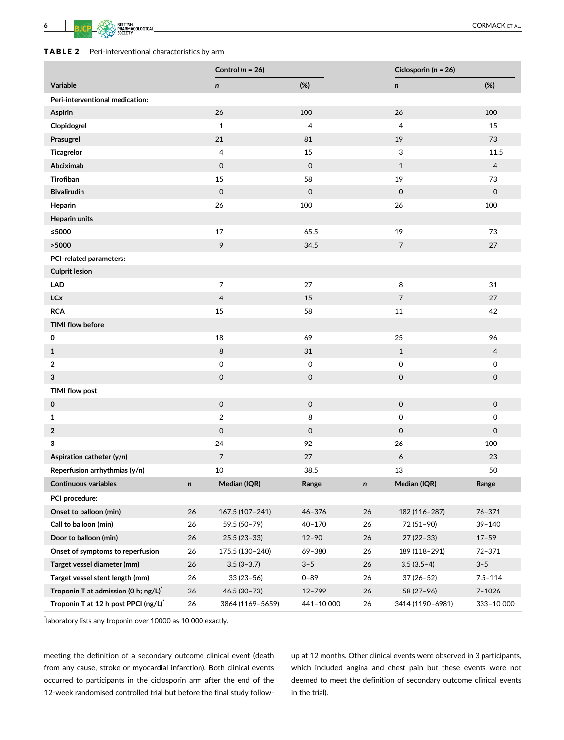

|                                      |    | Control ( $n = 26$ ) |                     |    | Ciclosporin ( $n = 26$ ) |                     |
|--------------------------------------|----|----------------------|---------------------|----|--------------------------|---------------------|
| Variable                             |    | $\mathsf{n}$         | (%)                 |    | n                        | (%)                 |
| Peri-interventional medication:      |    |                      |                     |    |                          |                     |
| Aspirin                              |    | 26                   | 100                 |    | 26                       | 100                 |
| Clopidogrel                          |    | $\mathbf{1}$         | 4                   |    | $\overline{4}$           | 15                  |
| Prasugrel                            |    | 21                   | 81                  |    | 19                       | 73                  |
| <b>Ticagrelor</b>                    |    | $\overline{4}$       | 15                  |    | 3                        | 11.5                |
| Abciximab                            |    | $\mathsf{O}\xspace$  | $\mathbf 0$         |    | $\mathbf{1}$             | 4                   |
| Tirofiban                            |    | 15                   | 58                  |    | 19                       | 73                  |
| <b>Bivalirudin</b>                   |    | $\mathsf{O}\xspace$  | $\mathsf{O}\xspace$ |    | $\mathsf{O}\xspace$      | $\mathsf O$         |
| Heparin                              |    | 26                   | 100                 |    | 26                       | 100                 |
| <b>Heparin units</b>                 |    |                      |                     |    |                          |                     |
| ≤5000                                |    | 17                   | 65.5                |    | 19                       | 73                  |
| >5000                                |    | 9                    | 34.5                |    | $\overline{7}$           | 27                  |
| PCI-related parameters:              |    |                      |                     |    |                          |                     |
| <b>Culprit lesion</b>                |    |                      |                     |    |                          |                     |
| <b>LAD</b>                           |    | $\overline{7}$       | 27                  |    | 8                        | 31                  |
| <b>LCx</b>                           |    | $\overline{4}$       | 15                  |    | 7                        | 27                  |
| <b>RCA</b>                           |    | 15                   | 58                  |    | $11\,$                   | 42                  |
| <b>TIMI flow before</b>              |    |                      |                     |    |                          |                     |
| 0                                    |    | 18                   | 69                  |    | 25                       | 96                  |
| $\mathbf{1}$                         |    | 8                    | 31                  |    | $\mathbf{1}$             | $\overline{4}$      |
| 2                                    |    | 0                    | 0                   |    | 0                        | 0                   |
| 3                                    |    | $\mathsf{O}\xspace$  | $\mathsf{O}\xspace$ |    | $\mathsf{O}\xspace$      | $\mathbf 0$         |
| <b>TIMI flow post</b>                |    |                      |                     |    |                          |                     |
| 0                                    |    | $\mathsf{O}$         | $\mathsf O$         |    | $\mathsf{O}\xspace$      | $\mathsf O$         |
| 1                                    |    | $\overline{2}$       | 8                   |    | $\mathsf{O}\xspace$      | $\mathsf{O}\xspace$ |
| $\overline{\mathbf{2}}$              |    | $\mathsf{O}\xspace$  | $\mathsf{O}\xspace$ |    | $\mathsf{O}\xspace$      | $\mathsf O$         |
| 3                                    |    | 24                   | 92                  |    | 26                       | 100                 |
| Aspiration catheter (y/n)            |    | $\overline{7}$       | 27                  |    | 6                        | 23                  |
| Reperfusion arrhythmias (y/n)        |    | 10                   | 38.5                |    | 13                       | 50                  |
| <b>Continuous variables</b>          | n  | Median (IQR)         | Range               | n  | Median (IQR)             | Range               |
| PCI procedure:                       |    |                      |                     |    |                          |                     |
| Onset to balloon (min)               | 26 | 167.5 (107-241)      | $46 - 376$          | 26 | 182 (116-287)            | $76 - 371$          |
| Call to balloon (min)                | 26 | 59.5 (50-79)         | $40 - 170$          | 26 | 72 (51-90)               | 39-140              |
| Door to balloon (min)                | 26 | $25.5(23-33)$        | $12 - 90$           | 26 | $27(22-33)$              | $17 - 59$           |
| Onset of symptoms to reperfusion     | 26 | 175.5 (130-240)      | 69-380              | 26 | 189 (118-291)            | 72-371              |
| Target vessel diameter (mm)          | 26 | $3.5(3-3.7)$         | $3 - 5$             | 26 | $3.5(3.5-4)$             | $3 - 5$             |
| Target vessel stent length (mm)      | 26 | $33(23-56)$          | $0 - 89$            | 26 | $37(26-52)$              | $7.5 - 114$         |
| Troponin T at admission (0 h; ng/L)* | 26 | $46.5(30-73)$        | 12-799              | 26 | 58 (27-96)               | $7 - 1026$          |
| Troponin T at 12 h post PPCI (ng/L)* | 26 | 3864 (1169-5659)     | 441-10 000          | 26 | 3414 (1190-6981)         | 333-10 000          |

\* laboratory lists any troponin over 10000 as 10 000 exactly.

meeting the definition of a secondary outcome clinical event (death from any cause, stroke or myocardial infarction). Both clinical events occurred to participants in the ciclosporin arm after the end of the 12-week randomised controlled trial but before the final study followup at 12 months. Other clinical events were observed in 3 participants, which included angina and chest pain but these events were not deemed to meet the definition of secondary outcome clinical events in the trial).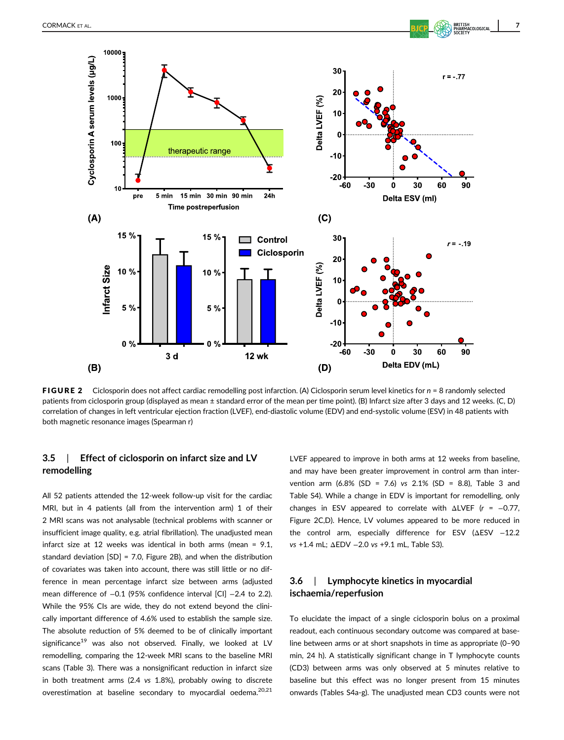

FIGURE 2 Ciclosporin does not affect cardiac remodelling post infarction. (A) Ciclosporin serum level kinetics for *n* = 8 randomly selected patients from ciclosporin group (displayed as mean ± standard error of the mean per time point). (B) Infarct size after 3 days and 12 weeks. (C, D) correlation of changes in left ventricular ejection fraction (LVEF), end-diastolic volume (EDV) and end-systolic volume (ESV) in 48 patients with both magnetic resonance images (Spearman r)

# **3.5** | **Effect of ciclosporin on infarct size and LV remodelling**

All 52 patients attended the 12-week follow-up visit for the cardiac MRI, but in 4 patients (all from the intervention arm) 1 of their 2 MRI scans was not analysable (technical problems with scanner or insufficient image quality, e.g. atrial fibrillation). The unadjusted mean infarct size at 12 weeks was identical in both arms (mean = 9.1, standard deviation [SD] = 7.0, Figure 2B), and when the distribution of covariates was taken into account, there was still little or no difference in mean percentage infarct size between arms (adjusted mean difference of -0.1 (95% confidence interval [CI] -2.4 to 2.2). While the 95% CIs are wide, they do not extend beyond the clinically important difference of 4.6% used to establish the sample size. The absolute reduction of 5% deemed to be of clinically important significance<sup>19</sup> was also not observed. Finally, we looked at LV remodelling, comparing the 12-week MRI scans to the baseline MRI scans (Table 3). There was a nonsignificant reduction in infarct size in both treatment arms (2.4 *vs* 1.8%), probably owing to discrete overestimation at baseline secondary to myocardial oedema.<sup>20,21</sup> LVEF appeared to improve in both arms at 12 weeks from baseline, and may have been greater improvement in control arm than intervention arm (6.8% (SD = 7.6) *vs* 2.1% (SD = 8.8), Table 3 and Table S4). While a change in EDV is important for remodelling, only changes in ESV appeared to correlate with ΔLVEF (*r* = −0.77, Figure 2C,D). Hence, LV volumes appeared to be more reduced in the control arm, especially difference for ESV (ΔESV -12.2 *vs* +1.4 mL; ΔEDV −2.0 *vs* +9.1 mL, Table S3).

# **3.6** | **Lymphocyte kinetics in myocardial ischaemia/reperfusion**

To elucidate the impact of a single ciclosporin bolus on a proximal readout, each continuous secondary outcome was compared at baseline between arms or at short snapshots in time as appropriate (0–90 min, 24 h). A statistically significant change in T lymphocyte counts (CD3) between arms was only observed at 5 minutes relative to baseline but this effect was no longer present from 15 minutes onwards (Tables S4a-g). The unadjusted mean CD3 counts were not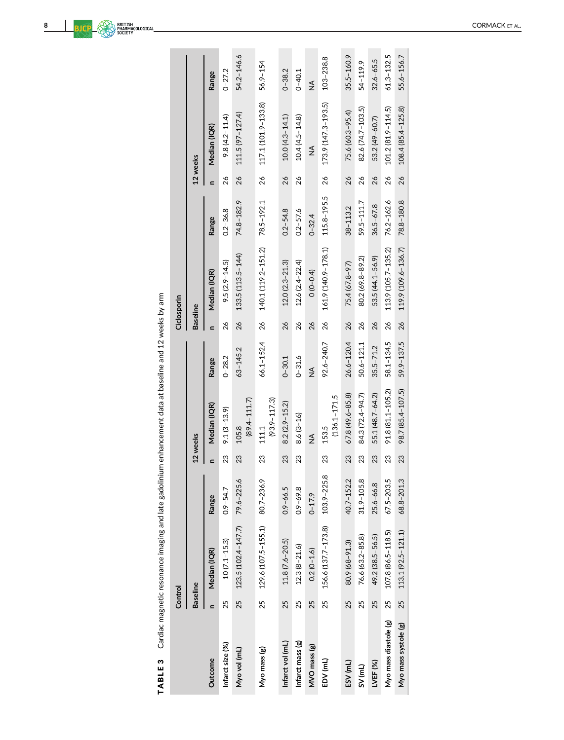| $\ddot{\phantom{a}}$                 |  |
|--------------------------------------|--|
|                                      |  |
|                                      |  |
|                                      |  |
|                                      |  |
|                                      |  |
|                                      |  |
| $\overline{\phantom{a}}$             |  |
| ¢<br>L<br>l<br>l<br>ã<br>I<br>í<br>Í |  |

|                       | Control         |                                |                |    |                           |                |                 | Ciclosporin         |               |              |                     |                |
|-----------------------|-----------------|--------------------------------|----------------|----|---------------------------|----------------|-----------------|---------------------|---------------|--------------|---------------------|----------------|
|                       | <b>Baseline</b> |                                |                |    | 12 weeks                  |                | <b>Baseline</b> |                     |               |              | 12 weeks            |                |
| Outcome               |                 | Median (IQR)                   | Range          |    | Median (IQR)              | Range          | $\mathbf{r}$    | Median (IQR)        | Range         | $\mathbf{r}$ | Median (IQR)        | Range          |
| Infarct size (%)      | 25              | $10(7.1 - 15.3)$               | $0.9 - 54.7$   | 23 | $9.1(3 - 13.9)$           | $0 - 28.2$     | 26              | $9.5(2.9 - 14.5)$   | $0.2 - 36.8$  | 26           | $9.8(4.2 - 11.4)$   | $0 - 27.2$     |
| Myo vol (mL)          | 25              | 123.5 (102.4-147.7)            | 79.6-225.6     | 23 | $(89.4 - 111.7)$<br>105.8 | 63-145.2       | 26              | 133.5 (113.5-144)   | 74.8-182.9    | 26           | $111.5(97 - 127.4)$ | 54.2-146.6     |
| Myo mass (g)          | 25              | 129.6 (107.5-155.1) 80.7-236.9 |                | 23 | $(93.9 - 117.3)$<br>111.1 | 66.1-152.4     | 26              | 140.1 (119.2-151.2) | 78.5-192.1    | 26           | 117.1 (101.9-133.8) | $56.9 - 154$   |
| Infarct vol (mL)      | 25              | $11.8(7.6 - 20.5)$             | $0.9 - 66.5$   | 23 | $8.2(2.9 - 15.2)$         | $0 - 30.1$     | 26              | $12.0(2.3 - 21.3)$  | $0.2 - 54.8$  | 26           | $10.0(4.3 - 14.1)$  | $0 - 38.2$     |
| Infarct mass (g)      | 25              | $12.3(8 - 21.6)$               | $0.9 - 69.8$   | 23 | $8.6(3 - 16)$             | $0 - 31.6$     | 26              | $12.6(2.4 - 22.4)$  | $0.2 - 57.6$  | 26           | $10.4(4.5 - 14.8)$  | $0 - 40.1$     |
| MVO mass (g)          | 25              | $0.2(0-1.6)$                   | $0 - 17.9$     |    | $\frac{1}{2}$             | $\frac{1}{2}$  | 26              | $O(O - O.4)$        | $0 - 32.4$    |              | $\frac{1}{2}$       | $\frac{1}{2}$  |
| EDV (mL)              | 25              | 156.6 (137.7-173.8)            | 103.9-225.8    | 23 | $(136.1 - 171.5$<br>153.5 | 92.6-240.7     | 26              | 161.9 (140.9-178.1) | 115.8-195.5   | 26           | 173.9 (147.3-193.5) | 103-238.8      |
| ESV (mL)              | 25              | 80.9 (68-91.3)                 | 40.7-152.2     | 23 | $67.8(49.6 - 85.8)$       | $26.6 - 120.4$ | 26              | 75.4 (67.8-97)      | $38 - 113.2$  | 26           | 75.6 (60.3-95.4)    | $35.5 - 160.9$ |
| $SV$ (mL)             | 25              | 76.6 (63.2-85.8)               | $31.9 - 105.8$ | 23 | 84.3 (72.4-94.7)          | $50.6 - 121.1$ | 26              | 80.2 (69.8-89.2)    | 59.5-111.7    | 26           | 82.6 (74.7-103.5)   | 54-119.9       |
| LVEF <sub>(%)</sub>   | 25              | 49.2 (38.5-56.5)               | 25.6-66.8      | 23 | 55.1 (48.7-64.2)          | $35.5 - 71.2$  | 26              | 53.5 (44.1-56.9)    | $36.5 - 67.8$ | 26           | 53.2 (49-60.7)      | $32.6 - 65.5$  |
| Myo mass diastole (g) | 25              | 107.8 (86.5-118.5)             | $67.5 - 203.5$ | 23 | 91.8 (81.1-105.2)         | 58.1-134.5     | 26              | 113.9 (105.7-135.2) | 76.2-162.6    | 26           | 101.2 (81.9-114.5)  | $61.3 - 132.5$ |
| Myo mass systole (g)  | 25              | $113.1(92.5 - 121.1)$          | 68.8-201.3     | 23 | 98.7 (85.4-107.5)         | 59.9-137.5     | 26              | 119.9 (109.6-136.7) | 78.8-180.8    | 26           | 108.4 (85.4-125.8)  | 55.6-156.7     |
|                       |                 |                                |                |    |                           |                |                 |                     |               |              |                     |                |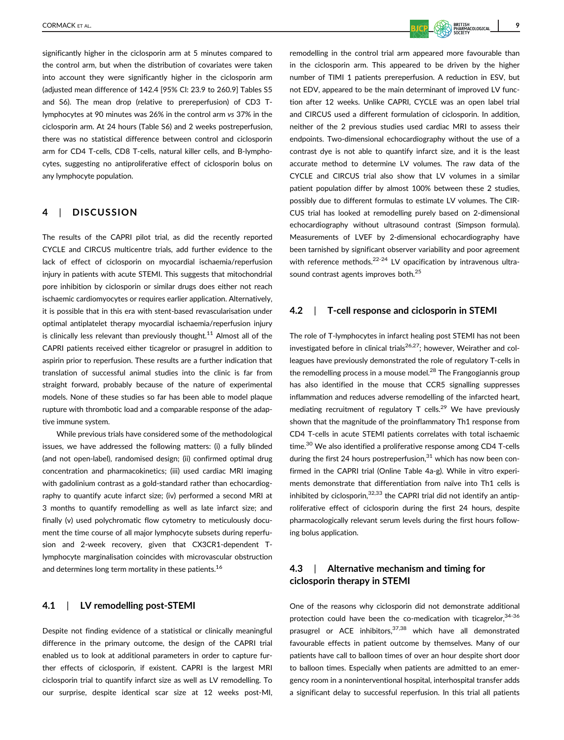significantly higher in the ciclosporin arm at 5 minutes compared to the control arm, but when the distribution of covariates were taken into account they were significantly higher in the ciclosporin arm (adjusted mean difference of 142.4 [95% CI: 23.9 to 260.9] Tables S5 and S6). The mean drop (relative to prereperfusion) of CD3 Tlymphocytes at 90 minutes was 26% in the control arm *vs* 37% in the ciclosporin arm. At 24 hours (Table S6) and 2 weeks postreperfusion, there was no statistical difference between control and ciclosporin arm for CD4 T-cells, CD8 T-cells, natural killer cells, and B-lymphocytes, suggesting no antiproliferative effect of ciclosporin bolus on any lymphocyte population.

## **4** | **DISCUSSION**

The results of the CAPRI pilot trial, as did the recently reported CYCLE and CIRCUS multicentre trials, add further evidence to the lack of effect of ciclosporin on myocardial ischaemia/reperfusion injury in patients with acute STEMI. This suggests that mitochondrial pore inhibition by ciclosporin or similar drugs does either not reach ischaemic cardiomyocytes or requires earlier application. Alternatively, it is possible that in this era with stent-based revascularisation under optimal antiplatelet therapy myocardial ischaemia/reperfusion injury is clinically less relevant than previously thought.<sup>11</sup> Almost all of the CAPRI patients received either ticagrelor or prasugrel in addition to aspirin prior to reperfusion. These results are a further indication that translation of successful animal studies into the clinic is far from straight forward, probably because of the nature of experimental models. None of these studies so far has been able to model plaque rupture with thrombotic load and a comparable response of the adaptive immune system.

While previous trials have considered some of the methodological issues, we have addressed the following matters: (i) a fully blinded (and not open-label), randomised design; (ii) confirmed optimal drug concentration and pharmacokinetics; (iii) used cardiac MRI imaging with gadolinium contrast as a gold-standard rather than echocardiography to quantify acute infarct size; (iv) performed a second MRI at 3 months to quantify remodelling as well as late infarct size; and finally (v) used polychromatic flow cytometry to meticulously document the time course of all major lymphocyte subsets during reperfusion and 2-week recovery, given that CX3CR1-dependent Tlymphocyte marginalisation coincides with microvascular obstruction and determines long term mortality in these patients.<sup>16</sup>

## **4.1** | **LV remodelling post-STEMI**

Despite not finding evidence of a statistical or clinically meaningful difference in the primary outcome, the design of the CAPRI trial enabled us to look at additional parameters in order to capture further effects of ciclosporin, if existent. CAPRI is the largest MRI ciclosporin trial to quantify infarct size as well as LV remodelling. To our surprise, despite identical scar size at 12 weeks post-MI, remodelling in the control trial arm appeared more favourable than in the ciclosporin arm. This appeared to be driven by the higher number of TIMI 1 patients prereperfusion. A reduction in ESV, but not EDV, appeared to be the main determinant of improved LV function after 12 weeks. Unlike CAPRI, CYCLE was an open label trial and CIRCUS used a different formulation of ciclosporin. In addition, neither of the 2 previous studies used cardiac MRI to assess their endpoints. Two-dimensional echocardiography without the use of a contrast dye is not able to quantify infarct size, and it is the least accurate method to determine LV volumes. The raw data of the CYCLE and CIRCUS trial also show that LV volumes in a similar patient population differ by almost 100% between these 2 studies, possibly due to different formulas to estimate LV volumes. The CIR-CUS trial has looked at remodelling purely based on 2-dimensional echocardiography without ultrasound contrast (Simpson formula). Measurements of LVEF by 2-dimensional echocardiography have been tarnished by significant observer variability and poor agreement with reference methods. $22-24$  LV opacification by intravenous ultrasound contrast agents improves both.<sup>25</sup>

## **4.2** | **T-cell response and ciclosporin in STEMI**

The role of T-lymphocytes in infarct healing post STEMI has not been investigated before in clinical trials<sup>26,27</sup>; however, Weirather and colleagues have previously demonstrated the role of regulatory T-cells in the remodelling process in a mouse model.<sup>28</sup> The Frangogiannis group has also identified in the mouse that CCR5 signalling suppresses inflammation and reduces adverse remodelling of the infarcted heart, mediating recruitment of regulatory  $T$  cells.<sup>29</sup> We have previously shown that the magnitude of the proinflammatory Th1 response from CD4 T-cells in acute STEMI patients correlates with total ischaemic time.<sup>30</sup> We also identified a proliferative response among CD4 T-cells during the first 24 hours postreperfusion, $31$  which has now been confirmed in the CAPRI trial (Online Table 4a-g). While in vitro experiments demonstrate that differentiation from naïve into Th1 cells is inhibited by ciclosporin,  $32,33$  the CAPRI trial did not identify an antiproliferative effect of ciclosporin during the first 24 hours, despite pharmacologically relevant serum levels during the first hours following bolus application.

# **4.3** | **Alternative mechanism and timing for ciclosporin therapy in STEMI**

One of the reasons why ciclosporin did not demonstrate additional protection could have been the co-medication with ticagrelor,  $34-36$ prasugrel or ACE inhibitors,  $37,38$  which have all demonstrated favourable effects in patient outcome by themselves. Many of our patients have call to balloon times of over an hour despite short door to balloon times. Especially when patients are admitted to an emergency room in a noninterventional hospital, interhospital transfer adds a significant delay to successful reperfusion. In this trial all patients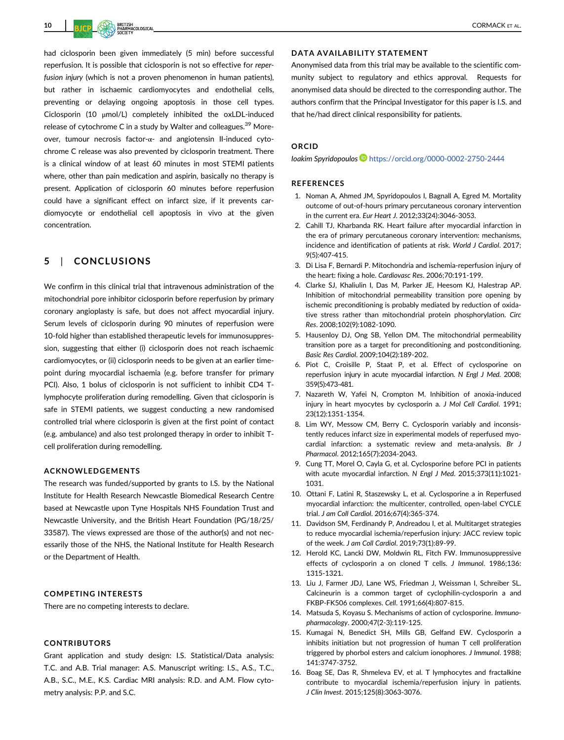had ciclosporin been given immediately (5 min) before successful reperfusion. It is possible that ciclosporin is not so effective for *reperfusion injury* (which is not a proven phenomenon in human patients), but rather in ischaemic cardiomyocytes and endothelial cells, preventing or delaying ongoing apoptosis in those cell types. Ciclosporin (10 μmol/L) completely inhibited the oxLDL-induced release of cytochrome C in a study by Walter and colleagues.<sup>39</sup> Moreover, tumour necrosis factor-α- and angiotensin II-induced cytochrome C release was also prevented by ciclosporin treatment. There is a clinical window of at least 60 minutes in most STEMI patients where, other than pain medication and aspirin, basically no therapy is present. Application of ciclosporin 60 minutes before reperfusion could have a significant effect on infarct size, if it prevents cardiomyocyte or endothelial cell apoptosis in vivo at the given concentration.

# **5** | **CONCLUSIONS**

We confirm in this clinical trial that intravenous administration of the mitochondrial pore inhibitor ciclosporin before reperfusion by primary coronary angioplasty is safe, but does not affect myocardial injury. Serum levels of ciclosporin during 90 minutes of reperfusion were 10-fold higher than established therapeutic levels for immunosuppression, suggesting that either (i) ciclosporin does not reach ischaemic cardiomyocytes, or (ii) ciclosporin needs to be given at an earlier timepoint during myocardial ischaemia (e.g. before transfer for primary PCI). Also, 1 bolus of ciclosporin is not sufficient to inhibit CD4 Tlymphocyte proliferation during remodelling. Given that ciclosporin is safe in STEMI patients, we suggest conducting a new randomised controlled trial where ciclosporin is given at the first point of contact (e.g. ambulance) and also test prolonged therapy in order to inhibit Tcell proliferation during remodelling.

#### **ACKNOWLEDGEMENTS**

The research was funded/supported by grants to I.S. by the National Institute for Health Research Newcastle Biomedical Research Centre based at Newcastle upon Tyne Hospitals NHS Foundation Trust and Newcastle University, and the British Heart Foundation (PG/18/25/ 33587). The views expressed are those of the author(s) and not necessarily those of the NHS, the National Institute for Health Research or the Department of Health.

#### **COMPETING INTERESTS**

There are no competing interests to declare.

#### **CONTRIBUTORS**

Grant application and study design: I.S. Statistical/Data analysis: T.C. and A.B. Trial manager: A.S. Manuscript writing: I.S., A.S., T.C., A.B., S.C., M.E., K.S. Cardiac MRI analysis: R.D. and A.M. Flow cytometry analysis: P.P. and S.C.

## **DATA AVAILABILITY STATEMENT**

Anonymised data from this trial may be available to the scientific community subject to regulatory and ethics approval. Requests for anonymised data should be directed to the corresponding author. The authors confirm that the Principal Investigator for this paper is I.S. and that he/had direct clinical responsibility for patients.

#### **ORCID**

*Ioakim Spyridopoulos* <https://orcid.org/0000-0002-2750-2444>

#### **REFERENCES**

- 1. Noman A, Ahmed JM, Spyridopoulos I, Bagnall A, Egred M. Mortality outcome of out-of-hours primary percutaneous coronary intervention in the current era. *Eur Heart J*. 2012;33(24):3046-3053.
- 2. Cahill TJ, Kharbanda RK. Heart failure after myocardial infarction in the era of primary percutaneous coronary intervention: mechanisms, incidence and identification of patients at risk. *World J Cardiol*. 2017; 9(5):407-415.
- 3. Di Lisa F, Bernardi P. Mitochondria and ischemia-reperfusion injury of the heart: fixing a hole. *Cardiovasc Res*. 2006;70:191-199.
- 4. Clarke SJ, Khaliulin I, Das M, Parker JE, Heesom KJ, Halestrap AP. Inhibition of mitochondrial permeability transition pore opening by ischemic preconditioning is probably mediated by reduction of oxidative stress rather than mitochondrial protein phosphorylation. *Circ Res*. 2008;102(9):1082-1090.
- 5. Hausenloy DJ, Ong SB, Yellon DM. The mitochondrial permeability transition pore as a target for preconditioning and postconditioning. *Basic Res Cardiol*. 2009;104(2):189-202.
- 6. Piot C, Croisille P, Staat P, et al. Effect of cyclosporine on reperfusion injury in acute myocardial infarction. *N Engl J Med*. 2008; 359(5):473-481.
- 7. Nazareth W, Yafei N, Crompton M. Inhibition of anoxia-induced injury in heart myocytes by cyclosporin a. *J Mol Cell Cardiol*. 1991; 23(12):1351-1354.
- 8. Lim WY, Messow CM, Berry C. Cyclosporin variably and inconsistently reduces infarct size in experimental models of reperfused myocardial infarction: a systematic review and meta-analysis. *Br J Pharmacol*. 2012;165(7):2034-2043.
- 9. Cung TT, Morel O, Cayla G, et al. Cyclosporine before PCI in patients with acute myocardial infarction. *N Engl J Med*. 2015;373(11):1021- 1031.
- 10. Ottani F, Latini R, Staszewsky L, et al. Cyclosporine a in Reperfused myocardial infarction: the multicenter, controlled, open-label CYCLE trial. *J am Coll Cardiol*. 2016;67(4):365-374.
- 11. Davidson SM, Ferdinandy P, Andreadou I, et al. Multitarget strategies to reduce myocardial ischemia/reperfusion injury: JACC review topic of the week. *J am Coll Cardiol*. 2019;73(1):89-99.
- 12. Herold KC, Lancki DW, Moldwin RL, Fitch FW. Immunosuppressive effects of cyclosporin a on cloned T cells. *J Immunol*. 1986;136: 1315-1321.
- 13. Liu J, Farmer JDJ, Lane WS, Friedman J, Weissman I, Schreiber SL. Calcineurin is a common target of cyclophilin-cyclosporin a and FKBP-FK506 complexes. *Cell*. 1991;66(4):807-815.
- 14. Matsuda S, Koyasu S. Mechanisms of action of cyclosporine. *Immunopharmacology*. 2000;47(2-3):119-125.
- 15. Kumagai N, Benedict SH, Mills GB, Gelfand EW. Cyclosporin a inhibits initiation but not progression of human T cell proliferation triggered by phorbol esters and calcium ionophores. *J Immunol*. 1988; 141:3747-3752.
- 16. Boag SE, Das R, Shmeleva EV, et al. T lymphocytes and fractalkine contribute to myocardial ischemia/reperfusion injury in patients. *J Clin Invest*. 2015;125(8):3063-3076.